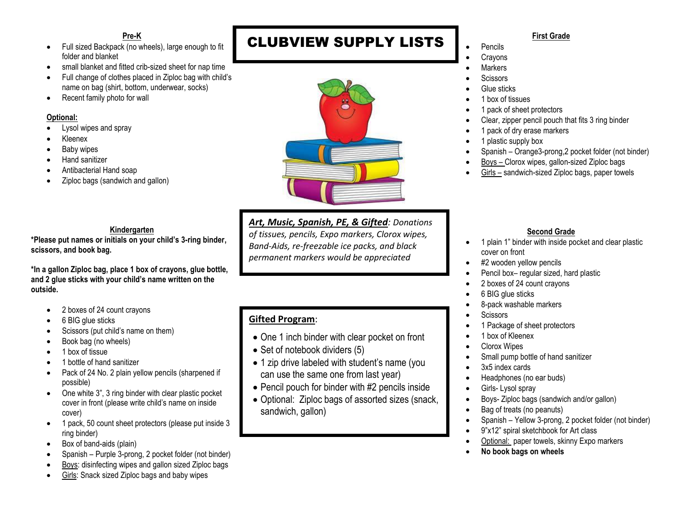#### **Pre-K**

- Full sized Backpack (no wheels), large enough to fit folder and blanket
- small blanket and fitted crib-sized sheet for nap time
- Full change of clothes placed in Ziploc bag with child's name on bag (shirt, bottom, underwear, socks)
- Recent family photo for wall

#### **Optional:**

- Lysol wipes and spray
- Kleenex
- Baby wipes
- Hand sanitizer
- Antibacterial Hand soap
- Ziploc bags (sandwich and gallon)

#### **Kindergarten**

**\*Please put names or initials on your child's 3-ring binder, scissors, and book bag.**

**\*In a gallon Ziploc bag, place 1 box of crayons, glue bottle, and 2 glue sticks with your child's name written on the outside.** 

- 2 boxes of 24 count crayons
- 6 BIG glue sticks
- Scissors (put child's name on them)
- Book bag (no wheels)
- 1 box of tissue
- 1 bottle of hand sanitizer
- Pack of 24 No. 2 plain yellow pencils (sharpened if possible)
- One white 3", 3 ring binder with clear plastic pocket cover in front (please write child's name on inside cover)
- 1 pack, 50 count sheet protectors (please put inside 3 ring binder)
- Box of band-aids (plain)
- Spanish Purple 3-prong, 2 pocket folder (not binder)
- Boys: disinfecting wipes and gallon sized Ziploc bags
- Girls: Snack sized Ziploc bags and baby wipes

# CLUBVIEW SUPPLY LISTS



*Art, Music, Spanish, PE, & Gifted: Donations of tissues, pencils, Expo markers, Clorox wipes, Band-Aids, re-freezable ice packs, and black permanent markers would be appreciated* 

# **Gifted Program**:

- One 1 inch binder with clear pocket on front
- Set of notebook dividers (5)
- 1 zip drive labeled with student's name (you can use the same one from last year)
- Pencil pouch for binder with #2 pencils inside
- Optional: Ziploc bags of assorted sizes (snack, sandwich, gallon)

#### **First Grade**

**Crayons** 

• Pencils

- **Markers**
- Scissors
- Glue sticks
- 1 box of tissues
- 1 pack of sheet protectors
- Clear, zipper pencil pouch that fits 3 ring binder
- 1 pack of dry erase markers
- 1 plastic supply box
- Spanish Orange3-prong,2 pocket folder (not binder)
- Boys Clorox wipes, gallon-sized Ziploc bags
- Girls sandwich-sized Ziploc bags, paper towels

### **Second Grade**

- 1 plain 1" binder with inside pocket and clear plastic cover on front
- #2 wooden yellow pencils
- Pencil box- regular sized, hard plastic
- 2 boxes of 24 count crayons
- 6 BIG glue sticks
- 8-pack washable markers
- **Scissors**
- 1 Package of sheet protectors
- 1 box of Kleenex
- Clorox Wipes
- Small pump bottle of hand sanitizer
- 3x5 index cards
- Headphones (no ear buds)
- Girls-Lysol spray
- Boys- Ziploc bags (sandwich and/or gallon)
- Bag of treats (no peanuts)
- Spanish Yellow 3-prong, 2 pocket folder (not binder)
- 9"x12" spiral sketchbook for Art class
- Optional: paper towels, skinny Expo markers
- **No book bags on wheels**